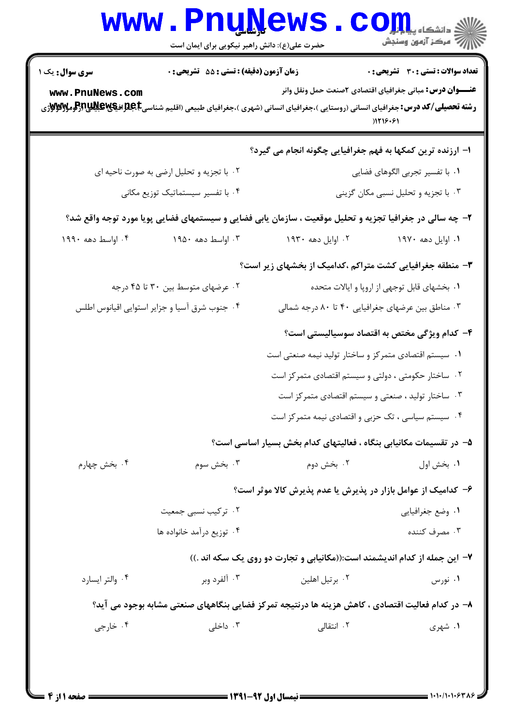|                                                                                                                                                                                              | <b>www.PnuNews</b><br>حضرت علی(ع): دانش راهبر نیکویی برای ایمان است |                                                                                                         | الی دانشکاه پیام <mark>بر</mark> ل<br> /> مرکز آزمون وسنجش                                                                          |
|----------------------------------------------------------------------------------------------------------------------------------------------------------------------------------------------|---------------------------------------------------------------------|---------------------------------------------------------------------------------------------------------|-------------------------------------------------------------------------------------------------------------------------------------|
| سری سوال : یک ۱<br>www.PnuNews.com<br><b>رشته تحصیلی/کد درس:</b> جغرافیای انسانی (روستایی )،جغرافیای انسانی (شهری )،جغرافیای طبیعی (اقلیم شناسی <b>E،Bلویاترالوگاللاپاترالومگالایاترا</b> ژی | زمان آزمون (دقیقه) : تستی : 55 آتشریحی : 0                          |                                                                                                         | <b>تعداد سوالات : تستی : 30 ٪ تشریحی : 0</b><br><b>عنـــوان درس:</b> مبانی جغرافیای اقتصادی <b>۲</b> صنعت حمل ونقل وانر<br>) 119.81 |
|                                                                                                                                                                                              |                                                                     | ا– ارزنده ترین کمکها به فهم جغرافیایی چگونه انجام می گیرد؟                                              |                                                                                                                                     |
|                                                                                                                                                                                              | ۰۲ با تجزیه و تحلیل ارضی به صورت ناحیه ای                           |                                                                                                         | ٠١. با تفسير تجربي الگوهاي فضايي                                                                                                    |
|                                                                                                                                                                                              | ۰۴ با تفسیر سیستماتیک توزیع مکانی                                   |                                                                                                         | ۰۳ با تجزیه و تحلیل نسبی مکان گزینی                                                                                                 |
|                                                                                                                                                                                              |                                                                     | ۲- چه سالی در جغرافیا تجزیه و تحلیل موقعیت ، سازمان یابی فضایی و سیستمهای فضایی پویا مورد توجه واقع شد؟ |                                                                                                                                     |
| ۰۴ اواسط دهه ۱۹۹۰                                                                                                                                                                            | ۰۳ اواسط دهه ۱۹۵۰                                                   | ۰۲ اوایل دهه ۱۹۳۰                                                                                       | ۰۱ اوایل دهه ۱۹۷۰                                                                                                                   |
|                                                                                                                                                                                              |                                                                     | ۳- منطقه جغرافیایی کشت متراکم ،کدامیک از بخشهای زیر است؟                                                |                                                                                                                                     |
|                                                                                                                                                                                              | ۰۲ عرضهای متوسط بین ۳۰ تا ۴۵ درجه                                   |                                                                                                         | ٠١ بخشهاى قابل توجهي از اروپا و ايالات متحده                                                                                        |
| ۰۴ جنوب شرق آسیا و جزایر استوایی اقیانوس اطلس                                                                                                                                                |                                                                     | ۰۳ مناطق بین عرضهای جغرافیایی ۴۰ تا ۸۰ درجه شمالی                                                       |                                                                                                                                     |
|                                                                                                                                                                                              |                                                                     |                                                                                                         | ۴– کدام ویژگی مختص به اقتصاد سوسیالیستی است؟                                                                                        |
|                                                                                                                                                                                              |                                                                     | ۰۱ سیستم اقتصادی متمرکز و ساختار تولید نیمه صنعتی است                                                   |                                                                                                                                     |
|                                                                                                                                                                                              |                                                                     | ۰۲ ساختار حکومتی ، دولتی و سیستم اقتصادی متمرکز است                                                     |                                                                                                                                     |
|                                                                                                                                                                                              |                                                                     | ۰۳ ساختار تولید ، صنعتی و سیستم اقتصادی متمرکز است                                                      |                                                                                                                                     |
|                                                                                                                                                                                              |                                                                     | ۰۴ سیستم سیاسی ، تک حزبی و اقتصادی نیمه متمر کز است                                                     |                                                                                                                                     |
|                                                                                                                                                                                              |                                                                     | ۵– در تقسیمات مکانیابی بنگاه ، فعالیتهای کدام بخش بسیار اساسی است؟                                      |                                                                                                                                     |
| ۰۴ بخش چهارم                                                                                                                                                                                 | ۰۳ بخش سوم                                                          | ۰۲ بخش دوم                                                                                              | ۰۱ بخش اول                                                                                                                          |
|                                                                                                                                                                                              |                                                                     | ۶- کدامیک از عوامل بازار در پذیرش یا عدم پذیرش کالا موثر است؟                                           |                                                                                                                                     |
|                                                                                                                                                                                              | ۰۲ ترکیب نسبی جمعیت                                                 |                                                                                                         | ۰۱ وضع جغرافیایی                                                                                                                    |
|                                                                                                                                                                                              | ۰۴ توزیع درآمد خانواده ها                                           |                                                                                                         | ۰۳ مصرف کننده                                                                                                                       |
|                                                                                                                                                                                              |                                                                     | ۷- این جمله از کدام اندیشمند است:((مکانیابی و تجارت دو روی یک سکه اند .))                               |                                                                                                                                     |
| ۰۴ والتر ايسارد                                                                                                                                                                              | ۰۳ آلفرد وبر                                                        | ۰۲ برتیل اهلین                                                                                          | ۰۱ نورس                                                                                                                             |
|                                                                                                                                                                                              |                                                                     | ۸– در کدام فعالیت اقتصادی ، کاهش هزینه ها درنتیجه تمرکز فضایی بنگاههای صنعتی مشابه بوجود می آید؟        |                                                                                                                                     |
| ۰۴ خارجي                                                                                                                                                                                     | ۰۳ داخلی                                                            | ۰۲ انتقالی                                                                                              | ۱. شهری                                                                                                                             |
|                                                                                                                                                                                              |                                                                     |                                                                                                         |                                                                                                                                     |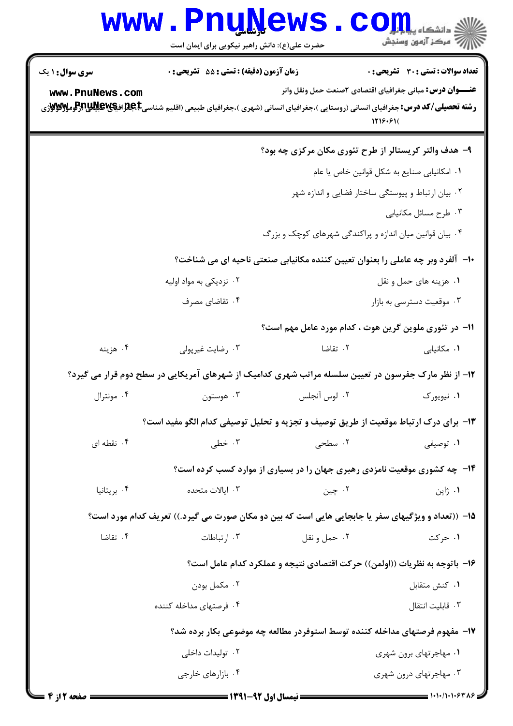|                        | <b>www.PnuNews</b><br>حضرت علی(ع): دانش راهبر نیکویی برای ایمان است |              | أآ مركز آزمون وسنجش                                                                                                                                |
|------------------------|---------------------------------------------------------------------|--------------|----------------------------------------------------------------------------------------------------------------------------------------------------|
| <b>سری سوال :</b> ۱ یک | <b>زمان آزمون (دقیقه) : تستی : 55 تشریحی : 0</b>                    |              | <b>تعداد سوالات : تستی : 30 ٪ تشریحی : 0</b>                                                                                                       |
| www.PnuNews.com        |                                                                     |              | <b>عنــــوان درس:</b> مبانی جغرافیای اقتصادی ۲صنعت حمل ونقل وانر                                                                                   |
|                        |                                                                     |              | <b>رشته تحصیلی/کد درس:</b> جغرافیای انسانی (روستایی )،جغرافیای انسانی (شهری )،جغرافیای طبیعی (اقلیم شناسیR، افعال بایستها بایستها بایس<br>1719.91( |
|                        |                                                                     |              | ۹- هدف والتر کریستالر از طرح تئوری مکان مرکزی چه بود؟                                                                                              |
|                        |                                                                     |              | ٠١ امكانيابي صنايع به شكل قوانين خاص يا عام                                                                                                        |
|                        |                                                                     |              | ۰۲ بیان ارتباط و پیوستگی ساختار فضایی و اندازه شهر                                                                                                 |
|                        |                                                                     |              | ۰۳ طرح مسائل مكانيابي                                                                                                                              |
|                        |                                                                     |              | ۰۴ بیان قوانین میان اندازه و پراکندگی شهرهای کوچک و بزرگ                                                                                           |
|                        |                                                                     |              | ∙ا− آلفرد وبر چه عاملی را بعنوان تعیین کننده مکانیابی صنعتی ناحیه ای می شناخت؟                                                                     |
|                        | ۰۲ نزدیکی به مواد اولیه                                             |              | ۰۱ هزینه های حمل و نقل                                                                                                                             |
|                        | ۰۴ تقاضای مصرف                                                      |              | ۰۳ موقعیت دسترسی به بازار                                                                                                                          |
|                        |                                                                     |              | 11– در تئوری ملوین گرین هوت ، کدام مورد عامل مهم است؟                                                                                              |
| ۰۴ هزينه               | ۰۳ رضایت غیرپولی                                                    | ۰۲ تقاضا     | ٠١. مكانيابي                                                                                                                                       |
|                        |                                                                     |              | ۱۲- از نظر مارک جفرسون در تعیین سلسله مراتب شهری کدامیک از شهرهای آمریکایی در سطح دوم قرار می گیرد؟                                                |
| ۰۴ مونترال             | ۰۳ هوستون                                                           | ۰۲ لوس آنجلس | ۰۱ نیویورک                                                                                                                                         |
|                        |                                                                     |              | ۱۳- برای درک ارتباط موقعیت از طریق توصیف و تجزیه و تحلیل توصیفی کدام الگو مفید است؟                                                                |
| ۰۴ نقطه ای             | ۰۳ خطی                                                              | ۰۲ سطحی      | ۰۱ توصیفی                                                                                                                                          |
|                        |                                                                     |              | ۱۴- چه کشوری موقعیت نامزدی رهبری جهان را در بسیاری از موارد کسب کرده است؟                                                                          |
| ۰۴ بریتانیا            | ۰۳ ایالات متحده                                                     | ۰۲ چين       | ۰۱ ژاپن                                                                                                                                            |
|                        |                                                                     |              | ۱۵– ((تعداد و ویژگیهای سفر یا جابجایی هایی است که بین دو مکان صورت می گیرد.)) تعریف کدام مورد است؟                                                 |
| ۰۴ تقاضا               | ۰۳ ارتباطات                                                         | ۰۲ حمل و نقل | ۰۱ حرکت                                                                                                                                            |
|                        |                                                                     |              | ۱۶- باتوجه به نظریات ((اولمن)) حرکت اقتصادی نتیجه و عملکرد کدام عامل است؟                                                                          |
|                        | ۰۲ مکمل بودن                                                        |              | ٠١. كنش متقابل                                                                                                                                     |
|                        | ۰۴ فرصتهای مداخله کننده                                             |              | ٠٣ قابليت انتقال                                                                                                                                   |
|                        |                                                                     |              | ۱۷– مفهوم فرصتهای مداخله کننده توسط استوفردر مطالعه چه موضوعی بکار برده شد؟                                                                        |
|                        | ۰۲ تولیدات داخلی                                                    |              | ۰۱ مهاجرتهای برون شهری                                                                                                                             |
|                        | ۰۴ بازارهای خارجی                                                   |              | ۰۳ مهاجرتهای درون شهری                                                                                                                             |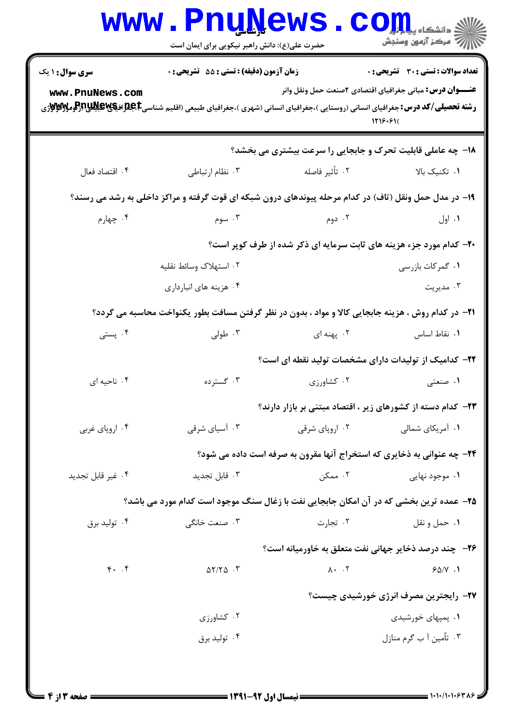| <b>WWW</b>             | <u>Luñilem e</u><br>حضرت علی(ع): دانش راهبر نیکویی برای ایمان است                                                                                        |                                                                                | دانشگاه پی <mark>ا ب</mark> ا ت <mark>و</mark><br>رِ آھرڪز آزمون وسنڊش       |  |
|------------------------|----------------------------------------------------------------------------------------------------------------------------------------------------------|--------------------------------------------------------------------------------|------------------------------------------------------------------------------|--|
| <b>سری سوال : ۱ یک</b> | <b>زمان آزمون (دقیقه) : تستی : 55 تشریحی : 0</b>                                                                                                         |                                                                                | تعداد سوالات : تستي : 30 ٪ تشريحي : 0                                        |  |
| www.PnuNews.com        | <b>رشته تحصیلی/کد درس:</b> جغرافیای انسانی (روستایی )،جغرافیای انسانی (شهری )،جغرافیای طبیعی (اقلیم شناسیRِBِष्ट्र اف <b>یگاپالیاباتراتومیالاتو</b> لاژی |                                                                                | <b>عنــــوان درس:</b> مبانی جغرافیای اقتصادی ۲صنعت حمل ونقل وانر<br>1119.91( |  |
|                        |                                                                                                                                                          | <b>۱۸- چه عاملی قابلیت تحرک و جابجایی را سرعت بیشتری می بخشد؟</b>              |                                                                              |  |
| ۰۴ اقتصاد فعال         | ۰۳ نظام ارتباطی                                                                                                                                          | ۰۲ تأثير فاصله                                                                 | ۰۱ تکنیک بالا                                                                |  |
|                        | ۱۹- در مدل حمل ونقل (تاف) در کدام مرحله پیوندهای درون شبکه ای قوت گرفته و مراکز داخلی به رشد می رسند؟                                                    |                                                                                |                                                                              |  |
| ۰۴ چهارم               | ۰۳ سوم                                                                                                                                                   | ۰۲ دوم                                                                         | ۰۱ اول                                                                       |  |
|                        | ۲۰- کدام مورد جزء هزینه های ثابت سرمایه ای ذکر شده از طرف کوپر است؟                                                                                      |                                                                                |                                                                              |  |
|                        | ۰۲ استهلاک وسائط نقلیه                                                                                                                                   |                                                                                | ۰۱ گمرکات بازرسی                                                             |  |
|                        | ۰۴ هزینه های انبارداری                                                                                                                                   |                                                                                | ۰۳ مدیریت                                                                    |  |
|                        | <b>۲۱</b> - در کدام روش ، هزینه جابجایی کالا و مواد ، بدون در نظر گرفتن مسافت بطور یکنواخت محاسبه می گردد؟                                               |                                                                                |                                                                              |  |
| ۰۴ پستی                | ۰۳ طولی                                                                                                                                                  | ۰۲ پهنه ای                                                                     | ٠١. نقاط اساس                                                                |  |
|                        |                                                                                                                                                          | <b>۲۲</b> – کدامیک از تولیدات دارای مشخصات تولید نقطه ای است؟                  |                                                                              |  |
| ۰۴ ناحیه ای            | ۰۳ گسترده                                                                                                                                                | ۰۲ کشاورزی                                                                     | ۰۱ صنعتی                                                                     |  |
|                        |                                                                                                                                                          | <b>۲۳</b> - کدام دسته از کشورهای زیر ، اقتصاد مبتنی بر بازار دارند؟            |                                                                              |  |
| ۰۴ اروپای غربی         | ۰۳ آسیای شرقی                                                                                                                                            | ۰۲ اروپای شرقی                                                                 | ۰۱ آمریکای شمالی                                                             |  |
|                        |                                                                                                                                                          | <b>۲۴</b> - چه عنوانی به ذخایری که استخراج آنها مقرون به صرفه است داده می شود؟ |                                                                              |  |
| ۰۴ غیر قابل تجدید      | ۰۳ قابل تجدید                                                                                                                                            | ۰۲ ممکن                                                                        | ۰۱ موجود نهایی                                                               |  |
|                        | ۲۵- عمده ترین بخشی که در آن امکان جابجایی نفت با زغال سنگ موجود است کدام مورد می باشد؟                                                                   |                                                                                |                                                                              |  |
| ۰۴ تولید برق           | ۰۳ صنعت خانگی                                                                                                                                            | ۰۲ تجارت                                                                       | ۰۱ حمل و نقل                                                                 |  |
|                        |                                                                                                                                                          | <b>۲۶</b> - چند درصد ذخایر جهانی نفت متعلق به خاورمیانه است؟                   |                                                                              |  |
| $f.$ $f$               | $\Delta Y/Y\Delta$ .                                                                                                                                     | $\lambda \cdot \cdot \cdot \tau$                                               | 90/V.1                                                                       |  |
|                        |                                                                                                                                                          |                                                                                | <b>۲۷-</b> رایجترین مصرف انرژی خورشیدی چیست؟                                 |  |
|                        | ۰۲ کشاورزی                                                                                                                                               |                                                                                | ۰۱ پمپهای خورشیدی                                                            |  |
|                        | ۰۴ تولید برق                                                                                                                                             |                                                                                | ۰۳ تاٌمین آ ب گرم منازل                                                      |  |
|                        |                                                                                                                                                          |                                                                                |                                                                              |  |